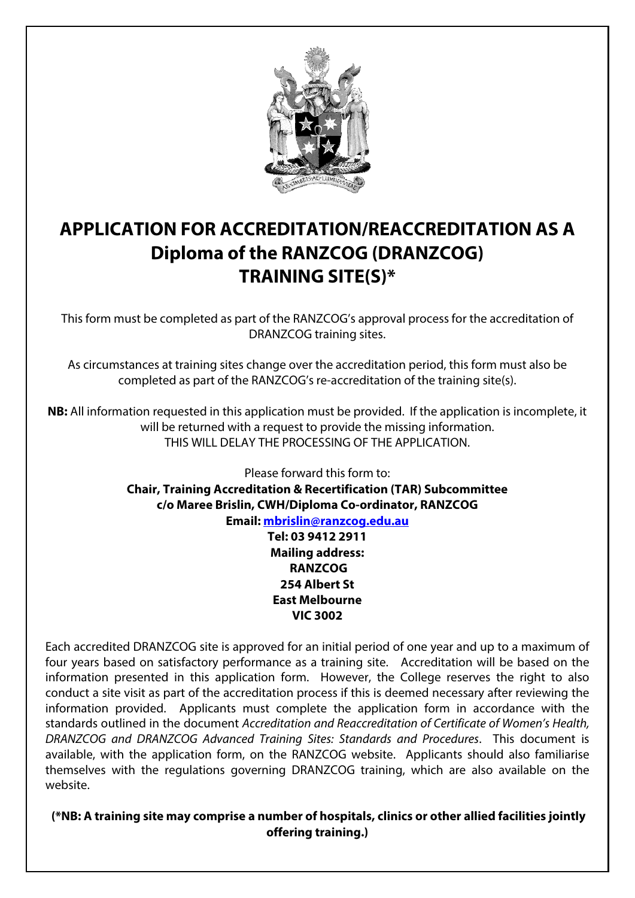

# **APPLICATION FOR ACCREDITATION/REACCREDITATION AS A Diploma of the RANZCOG (DRANZCOG) TRAINING SITE(S)\***

This form must be completed as part of the RANZCOG's approval process for the accreditation of DRANZCOG training sites.

As circumstances at training sites change over the accreditation period, this form must also be completed as part of the RANZCOG's re-accreditation of the training site(s).

**NB:** All information requested in this application must be provided. If the application is incomplete, it will be returned with a request to provide the missing information. THIS WILL DELAY THE PROCESSING OF THE APPLICATION.

> Please forward this form to: **Chair, Training Accreditation & Recertification (TAR) Subcommittee c/o Maree Brislin, CWH/Diploma Co-ordinator, RANZCOG Email: mbrislin@ranzcog.edu.au Tel: 03 9412 2911 Mailing address: RANZCOG 254 Albert St East Melbourne VIC 3002**

Each accredited DRANZCOG site is approved for an initial period of one year and up to a maximum of four years based on satisfactory performance as a training site. Accreditation will be based on the information presented in this application form. However, the College reserves the right to also conduct a site visit as part of the accreditation process if this is deemed necessary after reviewing the information provided. Applicants must complete the application form in accordance with the standards outlined in the document Accreditation and Reaccreditation of Certificate of Women's Health, DRANZCOG and DRANZCOG Advanced Training Sites: Standards and Procedures. This document is available, with the application form, on the RANZCOG website. Applicants should also familiarise themselves with the regulations governing DRANZCOG training, which are also available on the website.

 **(\*NB: A training site may comprise a number of hospitals, clinics or other allied facilities jointly offering training.)**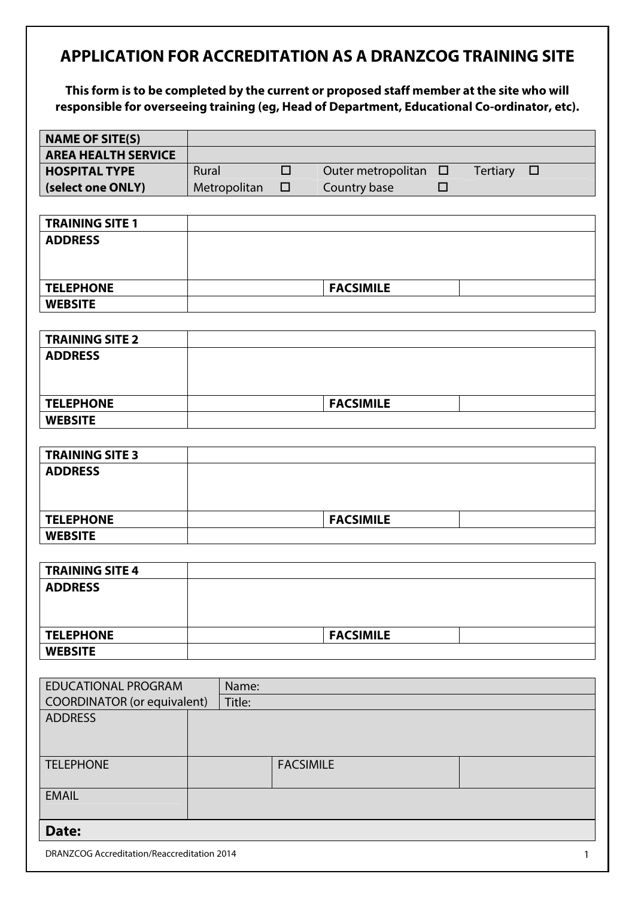# **APPLICATION FOR ACCREDITATION AS A DRANZCOG TRAINING SITE**

**This form is to be completed by the current or proposed staff member at the site who will responsible for overseeing training (eg, Head of Department, Educational Co-ordinator, etc).** 

| <b>NAME OF SITE(S)</b>                             |              |                  |                           |        |                 |              |
|----------------------------------------------------|--------------|------------------|---------------------------|--------|-----------------|--------------|
| <b>AREA HEALTH SERVICE</b>                         |              |                  |                           |        |                 |              |
| <b>HOSPITAL TYPE</b>                               | Rural        | $\Box$           | Outer metropolitan $\Box$ |        | Tertiary $\Box$ |              |
| (select one ONLY)                                  | Metropolitan | $\Box$           | Country base              | $\Box$ |                 |              |
|                                                    |              |                  |                           |        |                 |              |
| <b>TRAINING SITE 1</b>                             |              |                  |                           |        |                 |              |
| <b>ADDRESS</b>                                     |              |                  |                           |        |                 |              |
|                                                    |              |                  |                           |        |                 |              |
|                                                    |              |                  |                           |        |                 |              |
| <b>TELEPHONE</b>                                   |              |                  | <b>FACSIMILE</b>          |        |                 |              |
| <b>WEBSITE</b>                                     |              |                  |                           |        |                 |              |
|                                                    |              |                  |                           |        |                 |              |
| <b>TRAINING SITE 2</b>                             |              |                  |                           |        |                 |              |
| <b>ADDRESS</b>                                     |              |                  |                           |        |                 |              |
|                                                    |              |                  |                           |        |                 |              |
|                                                    |              |                  |                           |        |                 |              |
| <b>TELEPHONE</b>                                   |              |                  | <b>FACSIMILE</b>          |        |                 |              |
| <b>WEBSITE</b>                                     |              |                  |                           |        |                 |              |
|                                                    |              |                  |                           |        |                 |              |
| <b>TRAINING SITE 3</b>                             |              |                  |                           |        |                 |              |
| <b>ADDRESS</b>                                     |              |                  |                           |        |                 |              |
|                                                    |              |                  |                           |        |                 |              |
|                                                    |              |                  |                           |        |                 |              |
| <b>TELEPHONE</b>                                   |              |                  | <b>FACSIMILE</b>          |        |                 |              |
| <b>WEBSITE</b>                                     |              |                  |                           |        |                 |              |
|                                                    |              |                  |                           |        |                 |              |
| <b>TRAINING SITE 4</b>                             |              |                  |                           |        |                 |              |
| <b>ADDRESS</b>                                     |              |                  |                           |        |                 |              |
|                                                    |              |                  |                           |        |                 |              |
|                                                    |              |                  |                           |        |                 |              |
| <b>TELEPHONE</b>                                   |              |                  | <b>FACSIMILE</b>          |        |                 |              |
| <b>WEBSITE</b>                                     |              |                  |                           |        |                 |              |
|                                                    |              |                  |                           |        |                 |              |
| <b>EDUCATIONAL PROGRAM</b>                         | Name:        |                  |                           |        |                 |              |
| <b>COORDINATOR</b> (or equivalent)                 | Title:       |                  |                           |        |                 |              |
| <b>ADDRESS</b>                                     |              |                  |                           |        |                 |              |
|                                                    |              |                  |                           |        |                 |              |
| <b>TELEPHONE</b>                                   |              | <b>FACSIMILE</b> |                           |        |                 |              |
|                                                    |              |                  |                           |        |                 |              |
| <b>EMAIL</b>                                       |              |                  |                           |        |                 |              |
|                                                    |              |                  |                           |        |                 |              |
| Date:                                              |              |                  |                           |        |                 |              |
|                                                    |              |                  |                           |        |                 |              |
| <b>DRANZCOG Accreditation/Reaccreditation 2014</b> |              |                  |                           |        |                 | $\mathbf{1}$ |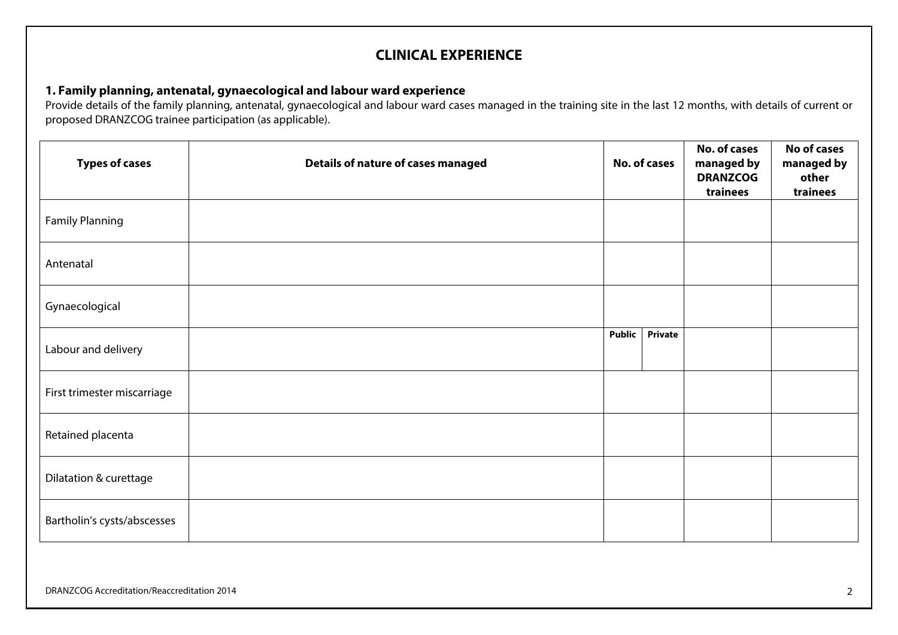## **CLINICAL EXPERIENCE**

## **1. Family planning, antenatal, gynaecological and labour ward experience**

Provide details of the family planning, antenatal, gynaecological and labour ward cases managed in the training site in the last 12 months, with details of current or proposed DRANZCOG trainee participation (as applicable).

| <b>Types of cases</b>       | Details of nature of cases managed | No. of cases |                | <b>No. of cases</b><br>managed by<br><b>DRANZCOG</b><br>trainees | <b>No of cases</b><br>managed by<br>other<br>trainees |
|-----------------------------|------------------------------------|--------------|----------------|------------------------------------------------------------------|-------------------------------------------------------|
| <b>Family Planning</b>      |                                    |              |                |                                                                  |                                                       |
| Antenatal                   |                                    |              |                |                                                                  |                                                       |
| Gynaecological              |                                    |              |                |                                                                  |                                                       |
| Labour and delivery         |                                    | Public       | <b>Private</b> |                                                                  |                                                       |
| First trimester miscarriage |                                    |              |                |                                                                  |                                                       |
| Retained placenta           |                                    |              |                |                                                                  |                                                       |
| Dilatation & curettage      |                                    |              |                |                                                                  |                                                       |
| Bartholin's cysts/abscesses |                                    |              |                |                                                                  |                                                       |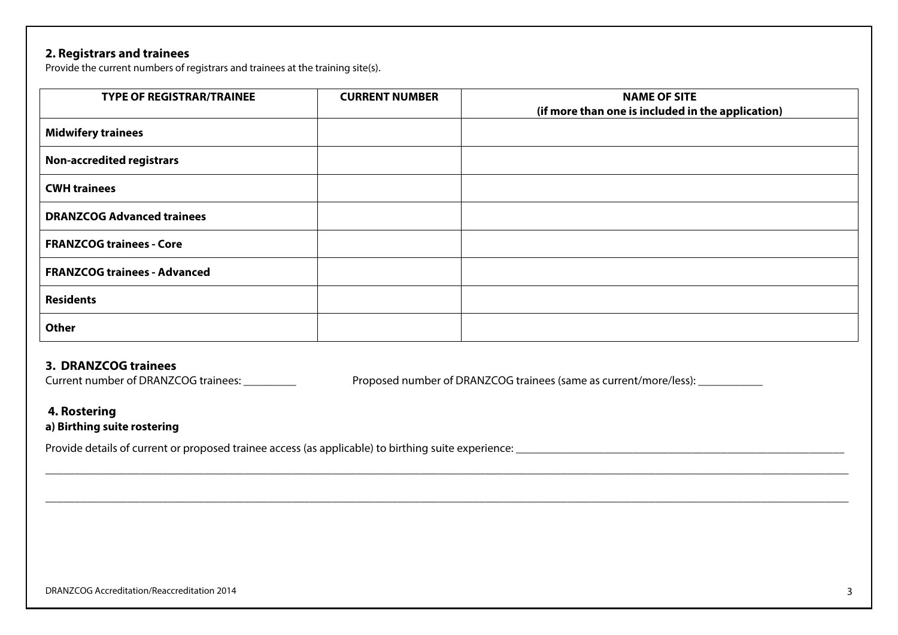## **2. Registrars and trainees**

Provide the current numbers of registrars and trainees at the training site(s).

| <b>TYPE OF REGISTRAR/TRAINEE</b>    | <b>CURRENT NUMBER</b> | <b>NAME OF SITE</b><br>(if more than one is included in the application) |
|-------------------------------------|-----------------------|--------------------------------------------------------------------------|
| <b>Midwifery trainees</b>           |                       |                                                                          |
| <b>Non-accredited registrars</b>    |                       |                                                                          |
| <b>CWH trainees</b>                 |                       |                                                                          |
| <b>DRANZCOG Advanced trainees</b>   |                       |                                                                          |
| <b>FRANZCOG trainees - Core</b>     |                       |                                                                          |
| <b>FRANZCOG trainees - Advanced</b> |                       |                                                                          |
| <b>Residents</b>                    |                       |                                                                          |
| <b>Other</b>                        |                       |                                                                          |

## **3. DRANZCOG trainees**

Current number of DRANZCOG trainees: \_\_\_\_\_\_\_\_\_\_\_\_ Proposed number of DRANZCOG trainees (same as current/more/less): \_\_\_\_\_\_\_\_\_\_\_

## **4. Rostering**

### **a) Birthing suite rostering**

Provide details of current or proposed trainee access (as applicable) to birthing suite experience: \_\_\_\_\_\_\_\_\_\_\_\_\_\_\_\_\_\_\_\_\_\_\_\_\_\_\_\_\_\_\_\_\_\_\_\_\_\_\_\_\_\_\_\_\_\_\_\_\_\_\_\_\_\_\_\_

\_\_\_\_\_\_\_\_\_\_\_\_\_\_\_\_\_\_\_\_\_\_\_\_\_\_\_\_\_\_\_\_\_\_\_\_\_\_\_\_\_\_\_\_\_\_\_\_\_\_\_\_\_\_\_\_\_\_\_\_\_\_\_\_\_\_\_\_\_\_\_\_\_\_\_\_\_\_\_\_\_\_\_\_\_\_\_\_\_\_\_\_\_\_\_\_\_\_\_\_\_\_\_\_\_\_\_\_\_\_\_\_\_\_\_\_\_\_\_\_\_\_\_\_\_\_\_\_\_\_\_\_\_\_\_\_\_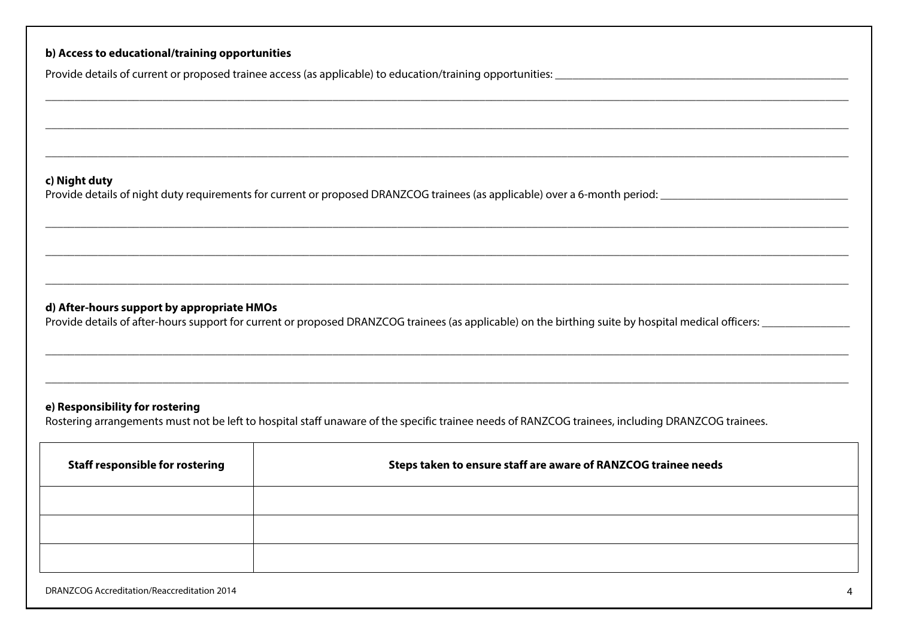| b) Access to educational/training opportunities |                                                                                                                                                   |
|-------------------------------------------------|---------------------------------------------------------------------------------------------------------------------------------------------------|
|                                                 |                                                                                                                                                   |
|                                                 |                                                                                                                                                   |
|                                                 |                                                                                                                                                   |
| c) Night duty                                   |                                                                                                                                                   |
|                                                 |                                                                                                                                                   |
|                                                 |                                                                                                                                                   |
|                                                 |                                                                                                                                                   |
| d) After-hours support by appropriate HMOs      |                                                                                                                                                   |
| e) Responsibility for rostering                 | Rostering arrangements must not be left to hospital staff unaware of the specific trainee needs of RANZCOG trainees, including DRANZCOG trainees. |
| <b>Staff responsible for rostering</b>          | Steps taken to ensure staff are aware of RANZCOG trainee needs                                                                                    |
|                                                 |                                                                                                                                                   |
|                                                 |                                                                                                                                                   |
|                                                 |                                                                                                                                                   |
| DRANZCOG Accreditation/Reaccreditation 2014     |                                                                                                                                                   |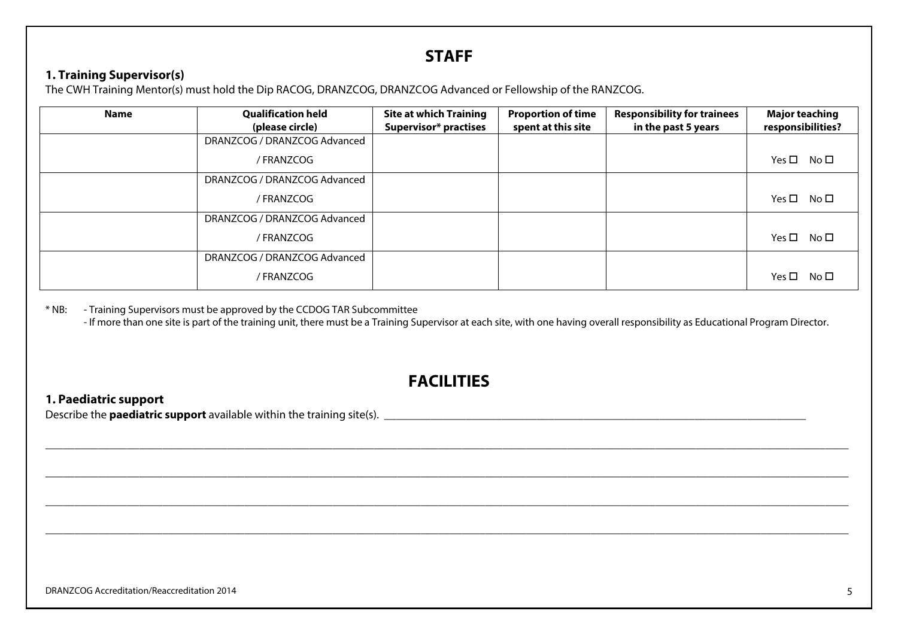## **STAFF**

## **1. Training Supervisor(s)**

The CWH Training Mentor(s) must hold the Dip RACOG, DRANZCOG, DRANZCOG Advanced or Fellowship of the RANZCOG.

| Name | <b>Qualification held</b><br>(please circle) | <b>Site at which Training</b><br><b>Supervisor* practises</b> | <b>Proportion of time</b><br>spent at this site | <b>Responsibility for trainees</b><br>in the past 5 years | <b>Major teaching</b><br>responsibilities? |
|------|----------------------------------------------|---------------------------------------------------------------|-------------------------------------------------|-----------------------------------------------------------|--------------------------------------------|
|      | DRANZCOG / DRANZCOG Advanced                 |                                                               |                                                 |                                                           |                                            |
|      | / FRANZCOG                                   |                                                               |                                                 |                                                           | $Yes \Box No \Box$                         |
|      | DRANZCOG / DRANZCOG Advanced                 |                                                               |                                                 |                                                           |                                            |
|      | / FRANZCOG                                   |                                                               |                                                 |                                                           | $Yes \Box No \Box$                         |
|      | DRANZCOG / DRANZCOG Advanced                 |                                                               |                                                 |                                                           |                                            |
|      | / FRANZCOG                                   |                                                               |                                                 |                                                           | $Yes \Box No \Box$                         |
|      | DRANZCOG / DRANZCOG Advanced                 |                                                               |                                                 |                                                           |                                            |
|      | / FRANZCOG                                   |                                                               |                                                 |                                                           | $Yes \Box No \Box$                         |

\* NB: - Training Supervisors must be approved by the CCDOG TAR Subcommittee

- If more than one site is part of the training unit, there must be a Training Supervisor at each site, with one having overall responsibility as Educational Program Director.

# **FACILITIES**

\_\_\_\_\_\_\_\_\_\_\_\_\_\_\_\_\_\_\_\_\_\_\_\_\_\_\_\_\_\_\_\_\_\_\_\_\_\_\_\_\_\_\_\_\_\_\_\_\_\_\_\_\_\_\_\_\_\_\_\_\_\_\_\_\_\_\_\_\_\_\_\_\_\_\_\_\_\_\_\_\_\_\_\_\_\_\_\_\_\_\_\_\_\_\_\_\_\_\_\_\_\_\_\_\_\_\_\_\_\_\_\_\_\_\_\_\_\_\_\_\_\_\_\_\_\_\_\_\_\_\_\_\_\_\_\_\_

## **1. Paediatric support**

Describe the **paediatric support** available within the training site(s). \_\_\_\_\_\_\_\_\_\_\_\_\_\_\_\_\_\_\_\_\_\_\_\_\_\_\_\_\_\_\_\_\_\_\_\_\_\_\_\_\_\_\_\_\_\_\_\_\_\_\_\_\_\_\_\_\_\_\_\_\_\_\_\_\_\_\_\_\_\_\_\_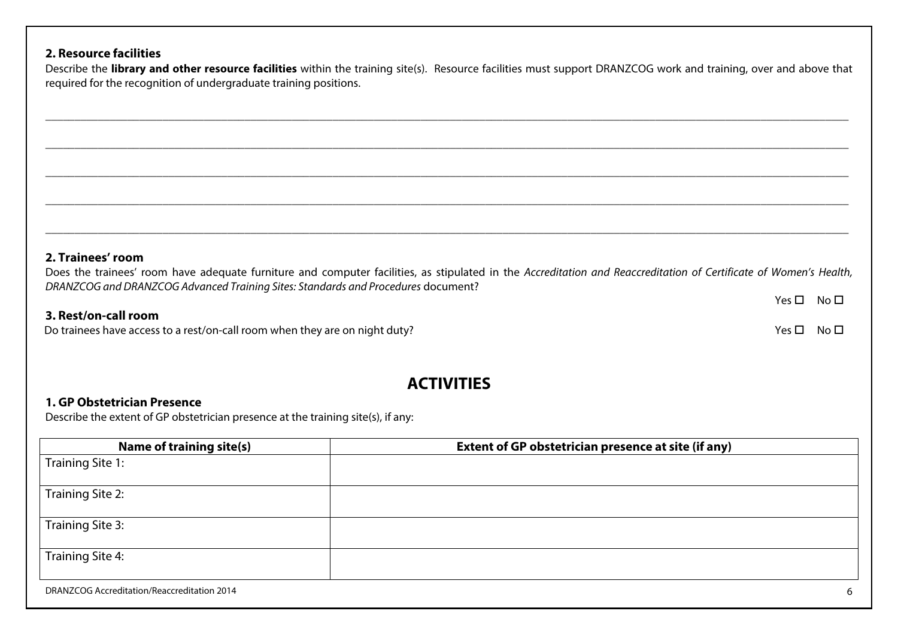## **2. Resource facilities**

Describe the **library and other resource facilities** within the training site(s). Resource facilities must support DRANZCOG work and training, over and above that required for the recognition of undergraduate training positions.

\_\_\_\_\_\_\_\_\_\_\_\_\_\_\_\_\_\_\_\_\_\_\_\_\_\_\_\_\_\_\_\_\_\_\_\_\_\_\_\_\_\_\_\_\_\_\_\_\_\_\_\_\_\_\_\_\_\_\_\_\_\_\_\_\_\_\_\_\_\_\_\_\_\_\_\_\_\_\_\_\_\_\_\_\_\_\_\_\_\_\_\_\_\_\_\_\_\_\_\_\_\_\_\_\_\_\_\_\_\_\_\_\_\_\_\_\_\_\_\_\_\_\_\_\_\_\_\_\_\_\_\_\_\_\_\_\_

\_\_\_\_\_\_\_\_\_\_\_\_\_\_\_\_\_\_\_\_\_\_\_\_\_\_\_\_\_\_\_\_\_\_\_\_\_\_\_\_\_\_\_\_\_\_\_\_\_\_\_\_\_\_\_\_\_\_\_\_\_\_\_\_\_\_\_\_\_\_\_\_\_\_\_\_\_\_\_\_\_\_\_\_\_\_\_\_\_\_\_\_\_\_\_\_\_\_\_\_\_\_\_\_\_\_\_\_\_\_\_\_\_\_\_\_\_\_\_\_\_\_\_\_\_\_\_\_\_\_\_\_\_\_\_\_\_

#### **2. Trainees' room**

Does the trainees' room have adequate furniture and computer facilities, as stipulated in the Accreditation and Reaccreditation of Certificate of Women's Health, DRANZCOG and DRANZCOG Advanced Training Sites: Standards and Procedures document?

#### **3. Rest/on-call room**

Do trainees have access to a rest/on-call room when they are on night duty?  $\Box$ 

# **ACTIVITIES**

## **1. GP Obstetrician Presence**

Describe the extent of GP obstetrician presence at the training site(s), if any:

| <b>Name of training site(s)</b>                    | Extent of GP obstetrician presence at site (if any) |
|----------------------------------------------------|-----------------------------------------------------|
| Training Site 1:                                   |                                                     |
|                                                    |                                                     |
| Training Site 2:                                   |                                                     |
|                                                    |                                                     |
| Training Site 3:                                   |                                                     |
|                                                    |                                                     |
| <b>Training Site 4:</b>                            |                                                     |
|                                                    |                                                     |
| <b>DRANZCOG Accreditation/Reaccreditation 2014</b> | 6                                                   |

 $Yes \Pi$  No  $\Pi$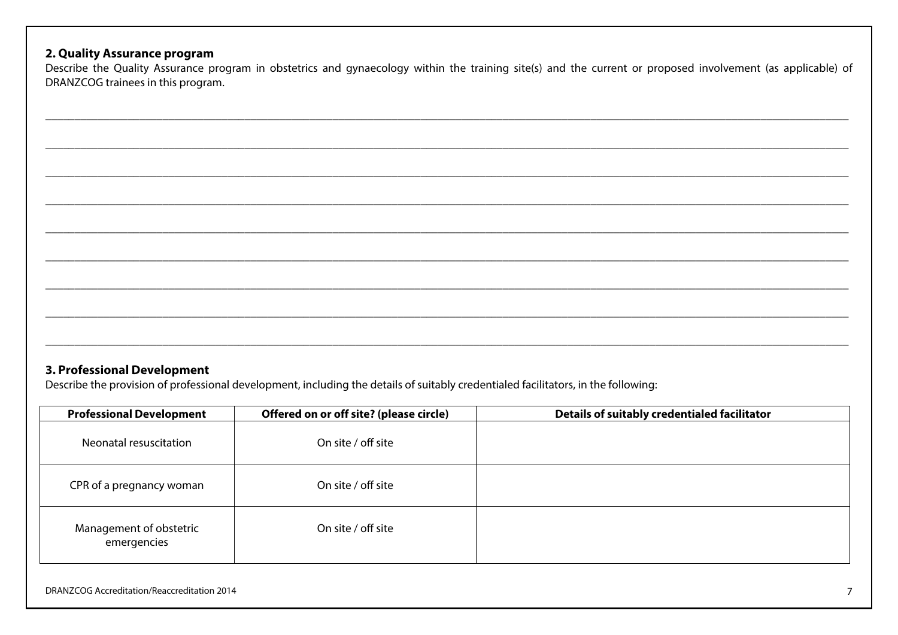## **2. Quality Assurance program**

Describe the Quality Assurance program in obstetrics and gynaecology within the training site(s) and the current or proposed involvement (as applicable) of DRANZCOG trainees in this program.

\_\_\_\_\_\_\_\_\_\_\_\_\_\_\_\_\_\_\_\_\_\_\_\_\_\_\_\_\_\_\_\_\_\_\_\_\_\_\_\_\_\_\_\_\_\_\_\_\_\_\_\_\_\_\_\_\_\_\_\_\_\_\_\_\_\_\_\_\_\_\_\_\_\_\_\_\_\_\_\_\_\_\_\_\_\_\_\_\_\_\_\_\_\_\_\_\_\_\_\_\_\_\_\_\_\_\_\_\_\_\_\_\_\_\_\_\_\_\_\_\_\_\_\_\_\_\_\_\_\_\_\_\_\_\_\_\_

\_\_\_\_\_\_\_\_\_\_\_\_\_\_\_\_\_\_\_\_\_\_\_\_\_\_\_\_\_\_\_\_\_\_\_\_\_\_\_\_\_\_\_\_\_\_\_\_\_\_\_\_\_\_\_\_\_\_\_\_\_\_\_\_\_\_\_\_\_\_\_\_\_\_\_\_\_\_\_\_\_\_\_\_\_\_\_\_\_\_\_\_\_\_\_\_\_\_\_\_\_\_\_\_\_\_\_\_\_\_\_\_\_\_\_\_\_\_\_\_\_\_\_\_\_\_\_\_\_\_\_\_\_\_\_\_\_

\_\_\_\_\_\_\_\_\_\_\_\_\_\_\_\_\_\_\_\_\_\_\_\_\_\_\_\_\_\_\_\_\_\_\_\_\_\_\_\_\_\_\_\_\_\_\_\_\_\_\_\_\_\_\_\_\_\_\_\_\_\_\_\_\_\_\_\_\_\_\_\_\_\_\_\_\_\_\_\_\_\_\_\_\_\_\_\_\_\_\_\_\_\_\_\_\_\_\_\_\_\_\_\_\_\_\_\_\_\_\_\_\_\_\_\_\_\_\_\_\_\_\_\_\_\_\_\_\_\_\_\_\_\_\_\_\_

## **3. Professional Development**

Describe the provision of professional development, including the details of suitably credentialed facilitators, in the following:

| <b>Professional Development</b>        | Offered on or off site? (please circle) | Details of suitably credentialed facilitator |
|----------------------------------------|-----------------------------------------|----------------------------------------------|
| Neonatal resuscitation                 | On site / off site                      |                                              |
| CPR of a pregnancy woman               | On site / off site                      |                                              |
| Management of obstetric<br>emergencies | On site / off site                      |                                              |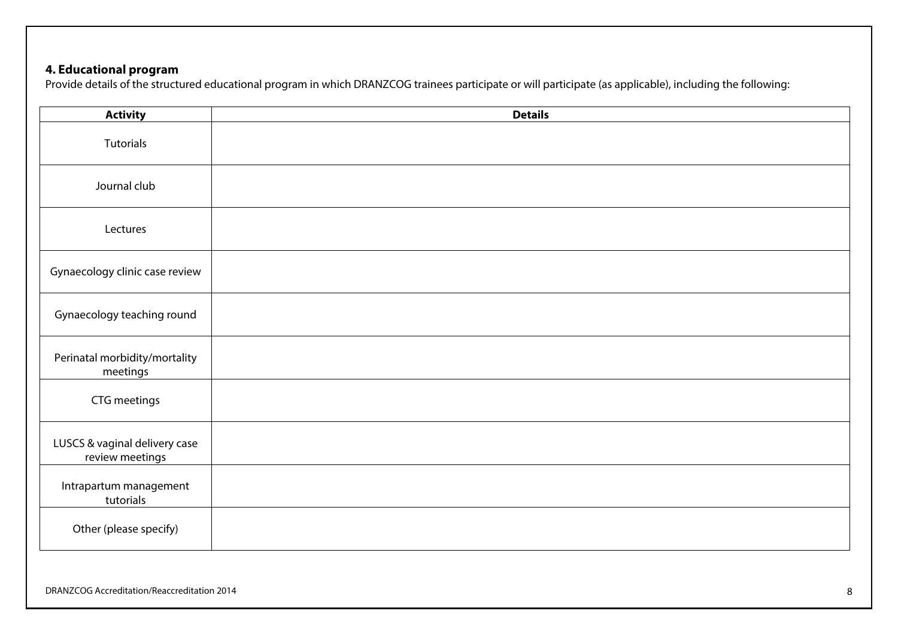## **4. Educational program**

Provide details of the structured educational program in which DRANZCOG trainees participate or will participate (as applicable), including the following:

| <b>Activity</b>                                  | <b>Details</b> |
|--------------------------------------------------|----------------|
| Tutorials                                        |                |
| Journal club                                     |                |
| Lectures                                         |                |
| Gynaecology clinic case review                   |                |
| Gynaecology teaching round                       |                |
| Perinatal morbidity/mortality<br>meetings        |                |
| CTG meetings                                     |                |
| LUSCS & vaginal delivery case<br>review meetings |                |
| Intrapartum management<br>tutorials              |                |
| Other (please specify)                           |                |
|                                                  |                |